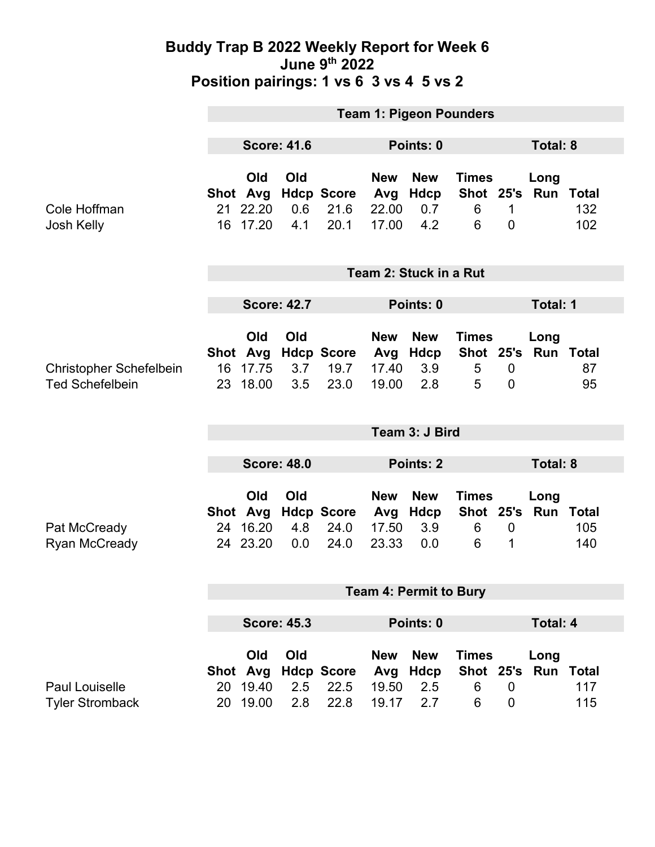#### **Buddy Trap B 2022 Weekly Report for Week 6 June 9th 2022 Position pairings: 1 vs 6 3 vs 4 5 vs 2**

|                                                          | <b>Team 1: Pigeon Pounders</b>                |                    |                                   |                                     |                                  |                                            |                                    |                             |                     |  |
|----------------------------------------------------------|-----------------------------------------------|--------------------|-----------------------------------|-------------------------------------|----------------------------------|--------------------------------------------|------------------------------------|-----------------------------|---------------------|--|
|                                                          | <b>Score: 41.6</b>                            | Points: 0          |                                   |                                     |                                  | Total: 8                                   |                                    |                             |                     |  |
| Cole Hoffman<br>Josh Kelly                               | Old<br>Shot Avg<br>22.20<br>21<br>16 17.20    | Old<br>0.6<br>4.1  | <b>Hdcp Score</b><br>21.6<br>20.1 | <b>New</b><br>Avg<br>22.00<br>17.00 | <b>New</b><br>Hdcp<br>0.7<br>4.2 | <b>Times</b><br>Shot 25's<br>6<br>6        | 1<br>$\overline{0}$                | Long<br>Run                 | Total<br>132<br>102 |  |
|                                                          | Team 2: Stuck in a Rut                        |                    |                                   |                                     |                                  |                                            |                                    |                             |                     |  |
|                                                          | <b>Score: 42.7</b>                            |                    |                                   | Points: 0                           |                                  |                                            |                                    | <b>Total: 1</b>             |                     |  |
| <b>Christopher Schefelbein</b><br><b>Ted Schefelbein</b> | Old<br>Shot Avg<br>17.75<br>16<br>18.00<br>23 | Old<br>3.7<br>3.5  | <b>Hdcp Score</b><br>19.7<br>23.0 | <b>New</b><br>Avg<br>17.40<br>19.00 | <b>New</b><br>Hdcp<br>3.9<br>2.8 | <b>Times</b><br>5<br>5                     | $\boldsymbol{0}$<br>$\overline{0}$ | Long<br>Shot 25's Run Total | 87<br>95            |  |
|                                                          | Team 3: J Bird                                |                    |                                   |                                     |                                  |                                            |                                    |                             |                     |  |
|                                                          | <b>Score: 48.0</b>                            |                    |                                   | Points: 2                           |                                  |                                            |                                    | Total: 8                    |                     |  |
| Pat McCready<br><b>Ryan McCready</b>                     | Old<br>Shot Avg<br>16.20<br>24<br>24 23.20    | Old<br>4.8<br>0.0  | <b>Hdcp Score</b><br>24.0<br>24.0 | <b>New</b><br>Avg<br>17.50<br>23.33 | <b>New</b><br>Hdcp<br>3.9<br>0.0 | <b>Times</b><br>Shot 25's<br>6<br>6        | $\boldsymbol{0}$<br>1              | Long<br><b>Run Total</b>    | 105<br>140          |  |
|                                                          | <b>Team 4: Permit to Bury</b>                 |                    |                                   |                                     |                                  |                                            |                                    |                             |                     |  |
|                                                          |                                               | <b>Score: 45.3</b> |                                   | Points: 0                           |                                  |                                            | <b>Total: 4</b>                    |                             |                     |  |
| Paul Louiselle<br><b>Tyler Stromback</b>                 | Old<br>Shot Avg<br>19.40<br>20<br>20 19.00    | Old<br>2.5<br>2.8  | <b>Hdcp Score</b><br>22.5<br>22.8 | <b>New</b><br>Avg<br>19.50<br>19.17 | <b>New</b><br>Hdcp<br>2.5<br>2.7 | <b>Times</b><br><b>Shot 25's</b><br>6<br>6 | $\mathbf 0$<br>$\mathbf 0$         | Long<br><b>Run Total</b>    | 117<br>115          |  |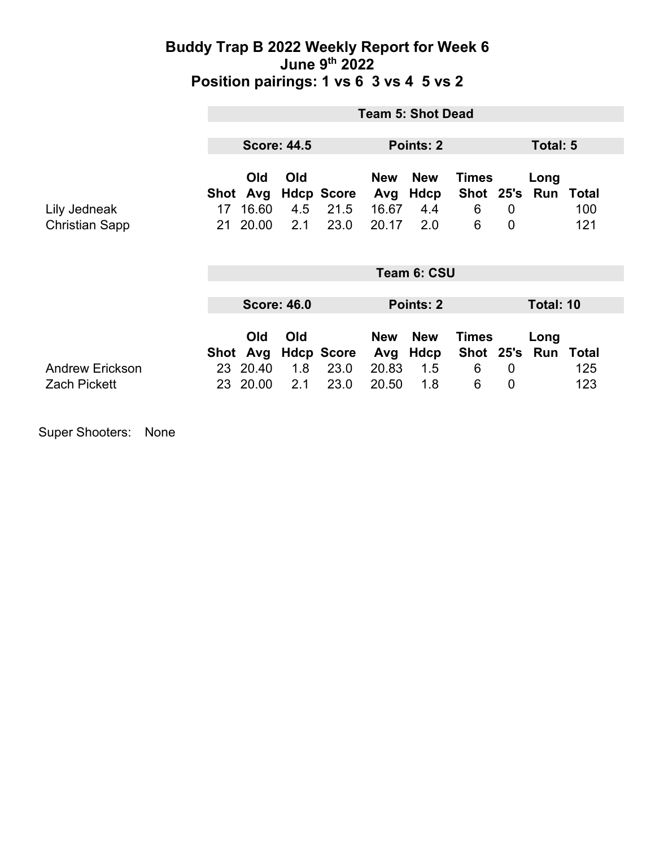### **Buddy Trap B 2022 Weekly Report for Week 6 June 9th 2022 Position pairings: 1 vs 6 3 vs 4 5 vs 2**

|                                               | <b>Team 5: Shot Dead</b> |                                      |                   |                                   |                                     |                                  |                                     |                               |                       |                     |
|-----------------------------------------------|--------------------------|--------------------------------------|-------------------|-----------------------------------|-------------------------------------|----------------------------------|-------------------------------------|-------------------------------|-----------------------|---------------------|
|                                               | <b>Score: 44.5</b>       |                                      |                   | Points: 2                         |                                     |                                  | Total: 5                            |                               |                       |                     |
| Lily Jedneak<br><b>Christian Sapp</b>         | Shot<br>17<br>21         | <b>Old</b><br>Avg<br>16.60<br>20.00  | Old<br>4.5<br>2.1 | <b>Hdcp Score</b><br>21.5<br>23.0 | <b>New</b><br>Avg<br>16.67<br>20.17 | <b>New</b><br>Hdcp<br>4.4<br>2.0 | <b>Times</b><br>Shot 25's<br>6<br>6 | $\overline{0}$<br>$\mathbf 0$ | Long<br>Run           | Total<br>100<br>121 |
|                                               | Team 6: CSU              |                                      |                   |                                   |                                     |                                  |                                     |                               |                       |                     |
|                                               | <b>Score: 46.0</b>       |                                      |                   | Points: 2                         |                                     |                                  | Total: 10                           |                               |                       |                     |
| <b>Andrew Erickson</b><br><b>Zach Pickett</b> | 23                       | Old<br>Shot Avg<br>23 20.40<br>20.00 | Old<br>1.8<br>2.1 | <b>Hdcp Score</b><br>23.0<br>23.0 | <b>New</b><br>Avg<br>20.83<br>20.50 | <b>New</b><br>Hdcp<br>1.5<br>1.8 | <b>Times</b><br>6<br>6              | $\overline{0}$<br>0           | Long<br>Shot 25's Run | Total<br>125<br>123 |

Super Shooters: None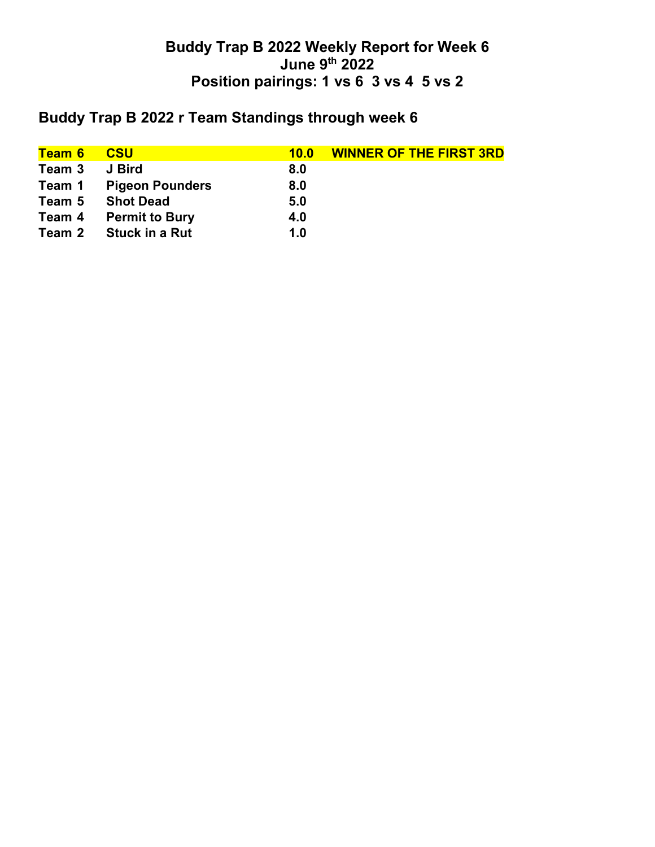## **Buddy Trap B 2022 Weekly Report for Week 6 June 9th 2022 Position pairings: 1 vs 6 3 vs 4 5 vs 2**

# **Buddy Trap B 2022 r Team Standings through week 6**

| <b>CSU</b>             | 10.0 | <b>WINNER OF THE FIRST 3RD</b> |
|------------------------|------|--------------------------------|
| J Bird                 | 8.0  |                                |
| <b>Pigeon Pounders</b> | 8.0  |                                |
| <b>Shot Dead</b>       | 5.0  |                                |
| <b>Permit to Bury</b>  | 4.0  |                                |
| <b>Stuck in a Rut</b>  | 1.0  |                                |
|                        |      |                                |